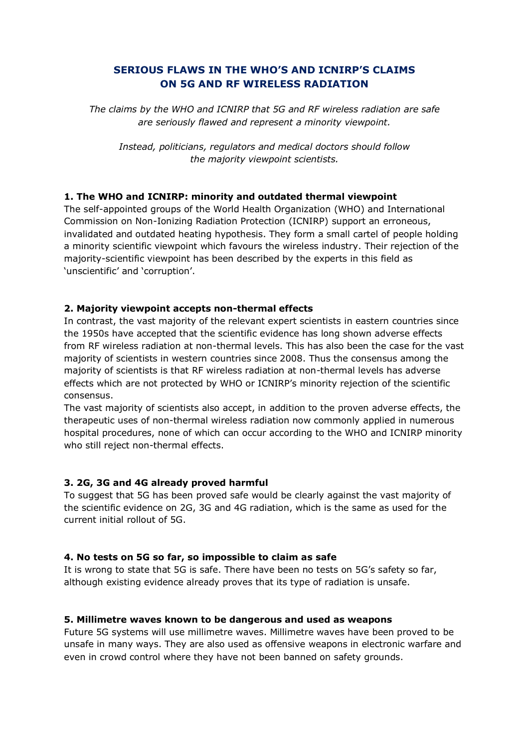# **SERIOUS FLAWS IN THE WHO'S AND ICNIRP'S CLAIMS ON 5G AND RF WIRELESS RADIATION**

*The claims by the WHO and ICNIRP that 5G and RF wireless radiation are safe are seriously flawed and represent a minority viewpoint.*

*Instead, politicians, regulators and medical doctors should follow the majority viewpoint scientists.*

## **1. The WHO and ICNIRP: minority and outdated thermal viewpoint**

The self-appointed groups of the World Health Organization (WHO) and International Commission on Non-Ionizing Radiation Protection (ICNIRP) support an erroneous, invalidated and outdated heating hypothesis. They form a small cartel of people holding a minority scientific viewpoint which favours the wireless industry. Their rejection of the majority-scientific viewpoint has been described by the experts in this field as 'unscientific' and 'corruption'.

## **2. Majority viewpoint accepts non-thermal effects**

In contrast, the vast majority of the relevant expert scientists in eastern countries since the 1950s have accepted that the scientific evidence has long shown adverse effects from RF wireless radiation at non-thermal levels. This has also been the case for the vast majority of scientists in western countries since 2008. Thus the consensus among the majority of scientists is that RF wireless radiation at non-thermal levels has adverse effects which are not protected by WHO or ICNIRP's minority rejection of the scientific consensus.

The vast majority of scientists also accept, in addition to the proven adverse effects, the therapeutic uses of non-thermal wireless radiation now commonly applied in numerous hospital procedures, none of which can occur according to the WHO and ICNIRP minority who still reject non-thermal effects.

## **3. 2G, 3G and 4G already proved harmful**

To suggest that 5G has been proved safe would be clearly against the vast majority of the scientific evidence on 2G, 3G and 4G radiation, which is the same as used for the current initial rollout of 5G.

## **4. No tests on 5G so far, so impossible to claim as safe**

It is wrong to state that 5G is safe. There have been no tests on 5G's safety so far, although existing evidence already proves that its type of radiation is unsafe.

## **5. Millimetre waves known to be dangerous and used as weapons**

Future 5G systems will use millimetre waves. Millimetre waves have been proved to be unsafe in many ways. They are also used as offensive weapons in electronic warfare and even in crowd control where they have not been banned on safety grounds.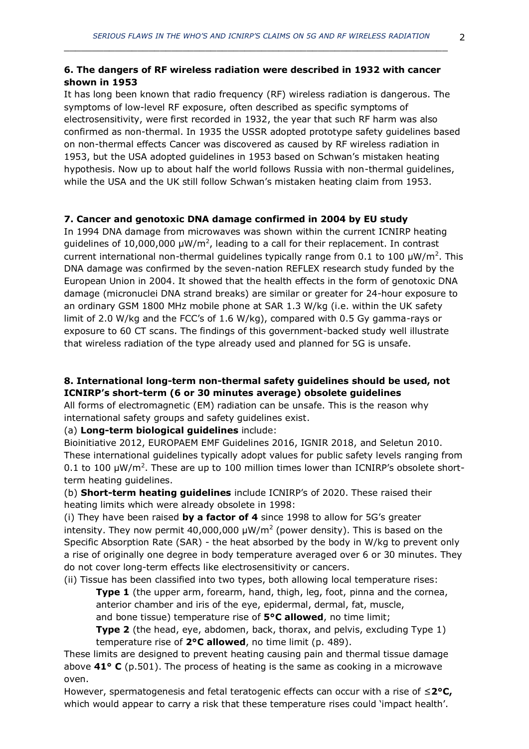## **6. The dangers of RF wireless radiation were described in 1932 with cancer shown in 1953**

It has long been known that radio frequency (RF) wireless radiation is dangerous. The symptoms of low-level RF exposure, often described as specific symptoms of electrosensitivity, were first recorded in 1932, the year that such RF harm was also confirmed as non-thermal. In 1935 the USSR adopted prototype safety guidelines based on non-thermal effects Cancer was discovered as caused by RF wireless radiation in 1953, but the USA adopted guidelines in 1953 based on Schwan's mistaken heating hypothesis. Now up to about half the world follows Russia with non-thermal guidelines, while the USA and the UK still follow Schwan's mistaken heating claim from 1953.

## **7. Cancer and genotoxic DNA damage confirmed in 2004 by EU study**

In 1994 DNA damage from microwaves was shown within the current ICNIRP heating guidelines of 10,000,000  $\mu$ W/m<sup>2</sup>, leading to a call for their replacement. In contrast current international non-thermal guidelines typically range from 0.1 to 100  $\mu$ W/m<sup>2</sup>. This DNA damage was confirmed by the seven-nation REFLEX research study funded by the European Union in 2004. It showed that the health effects in the form of genotoxic DNA damage (micronuclei DNA strand breaks) are similar or greater for 24-hour exposure to an ordinary GSM 1800 MHz mobile phone at SAR 1.3 W/kg (i.e. within the UK safety limit of 2.0 W/kg and the FCC's of 1.6 W/kg), compared with 0.5 Gy gamma-rays or exposure to 60 CT scans. The findings of this government-backed study well illustrate that wireless radiation of the type already used and planned for 5G is unsafe.

## **8. International long-term non-thermal safety guidelines should be used, not ICNIRP's short-term (6 or 30 minutes average) obsolete guidelines**

All forms of electromagnetic (EM) radiation can be unsafe. This is the reason why international safety groups and safety guidelines exist.

(a) **Long-term biological guidelines** include:

Bioinitiative 2012, EUROPAEM EMF Guidelines 2016, IGNIR 2018, and Seletun 2010. These international guidelines typically adopt values for public safety levels ranging from 0.1 to 100  $\mu$ W/m<sup>2</sup>. These are up to 100 million times lower than ICNIRP's obsolete shortterm heating guidelines.

(b) **Short-term heating guidelines** include ICNIRP's of 2020. These raised their heating limits which were already obsolete in 1998:

(i) They have been raised **by a factor of 4** since 1998 to allow for 5G's greater intensity. They now permit 40,000,000  $\mu$ W/m<sup>2</sup> (power density). This is based on the Specific Absorption Rate (SAR) - the heat absorbed by the body in W/kg to prevent only a rise of originally one degree in body temperature averaged over 6 or 30 minutes. They do not cover long-term effects like electrosensitivity or cancers.

(ii) Tissue has been classified into two types, both allowing local temperature rises:

**Type 1** (the upper arm, forearm, hand, thigh, leg, foot, pinna and the cornea, anterior chamber and iris of the eye, epidermal, dermal, fat, muscle, and bone tissue) temperature rise of **5°C allowed**, no time limit;

**Type 2** (the head, eye, abdomen, back, thorax, and pelvis, excluding Type 1) temperature rise of **2°C allowed**, no time limit (p. 489).

These limits are designed to prevent heating causing pain and thermal tissue damage above **41° C** (p.501). The process of heating is the same as cooking in a microwave oven.

However, spermatogenesis and fetal teratogenic effects can occur with a rise of ≤**2°C,**  which would appear to carry a risk that these temperature rises could 'impact health'.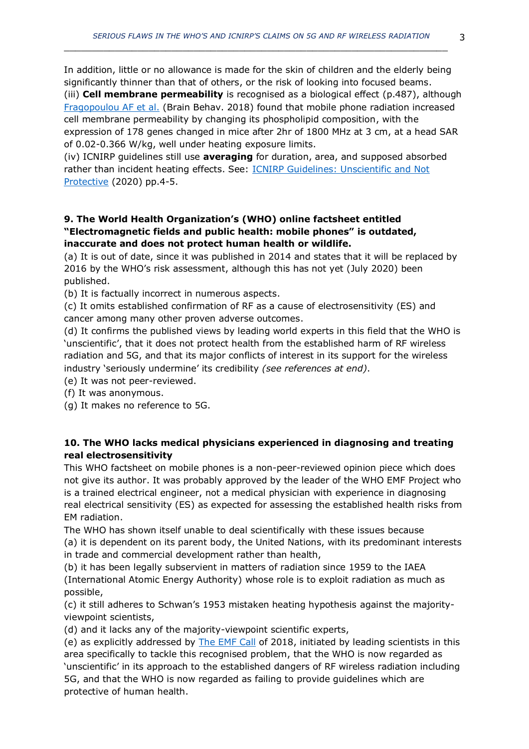In addition, little or no allowance is made for the skin of children and the elderly being significantly thinner than that of others, or the risk of looking into focused beams.

(iii) **Cell membrane permeability** is recognised as a biological effect (p.487), although [Fragopoulou AF et al.](http://www.ncbi.nlm.nih.gov/pmc/articles/pmc5991598/) (Brain Behav. 2018) found that mobile phone radiation increased cell membrane permeability by changing its phospholipid composition, with the expression of 178 genes changed in mice after 2hr of 1800 MHz at 3 cm, at a head SAR of 0.02-0.366 W/kg, well under heating exposure limits.

(iv) ICNIRP guidelines still use **averaging** for duration, area, and supposed absorbed rather than incident heating effects. See: **ICNIRP Guidelines: Unscientific and Not** [Protective](http://www.es-uk.info/wp-content/uploads/2020/02/03.11-ICNIRP-Guidelines-Unscientific-and-Not-Protective.pdf) (2020) pp.4-5.

## **9. The World Health Organization's (WHO) online factsheet entitled "Electromagnetic fields and public health: mobile phones" is outdated, inaccurate and does not protect human health or wildlife.**

(a) It is out of date, since it was published in 2014 and states that it will be replaced by 2016 by the WHO's risk assessment, although this has not yet (July 2020) been published.

(b) It is factually incorrect in numerous aspects.

(c) It omits established confirmation of RF as a cause of electrosensitivity (ES) and cancer among many other proven adverse outcomes.

(d) It confirms the published views by leading world experts in this field that the WHO is 'unscientific', that it does not protect health from the established harm of RF wireless radiation and 5G, and that its major conflicts of interest in its support for the wireless industry 'seriously undermine' its credibility *(see references at end)*.

(e) It was not peer-reviewed.

(f) It was anonymous.

(g) It makes no reference to 5G.

## **10. The WHO lacks medical physicians experienced in diagnosing and treating real electrosensitivity**

This WHO factsheet on mobile phones is a non-peer-reviewed opinion piece which does not give its author. It was probably approved by the leader of the WHO EMF Project who is a trained electrical engineer, not a medical physician with experience in diagnosing real electrical sensitivity (ES) as expected for assessing the established health risks from EM radiation.

The WHO has shown itself unable to deal scientifically with these issues because (a) it is dependent on its parent body, the United Nations, with its predominant interests in trade and commercial development rather than health,

(b) it has been legally subservient in matters of radiation since 1959 to the IAEA (International Atomic Energy Authority) whose role is to exploit radiation as much as possible,

(c) it still adheres to Schwan's 1953 mistaken heating hypothesis against the majorityviewpoint scientists,

(d) and it lacks any of the majority-viewpoint scientific experts,

(e) as explicitly addressed by [The EMF Call](https://www.emfcall.org/) of 2018, initiated by leading scientists in this area specifically to tackle this recognised problem, that the WHO is now regarded as 'unscientific' in its approach to the established dangers of RF wireless radiation including 5G, and that the WHO is now regarded as failing to provide guidelines which are protective of human health.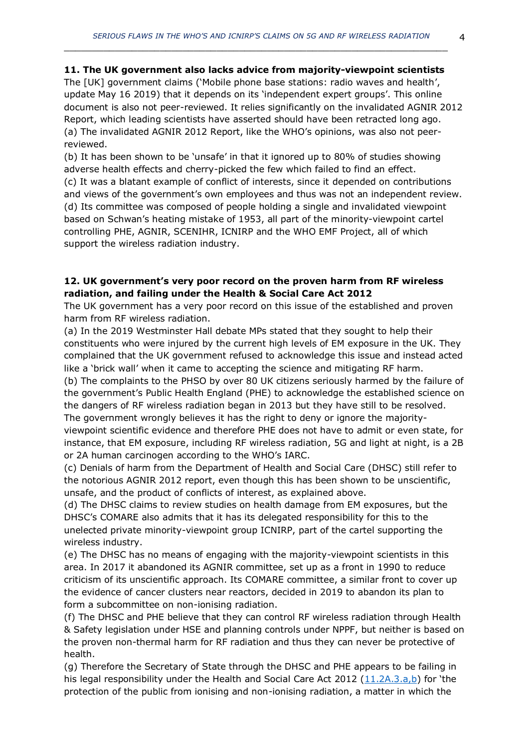#### **11. The UK government also lacks advice from majority-viewpoint scientists**

 $\_$  , and the set of the set of the set of the set of the set of the set of the set of the set of the set of the set of the set of the set of the set of the set of the set of the set of the set of the set of the set of th

The [UK] government claims ('Mobile phone base stations: radio waves and health', update May 16 2019) that it depends on its 'independent expert groups'. This online document is also not peer-reviewed. It relies significantly on the invalidated AGNIR 2012 Report, which leading scientists have asserted should have been retracted long ago. (a) The invalidated AGNIR 2012 Report, like the WHO's opinions, was also not peerreviewed.

(b) It has been shown to be 'unsafe' in that it ignored up to 80% of studies showing adverse health effects and cherry-picked the few which failed to find an effect. (c) It was a blatant example of conflict of interests, since it depended on contributions and views of the government's own employees and thus was not an independent review. (d) Its committee was composed of people holding a single and invalidated viewpoint based on Schwan's heating mistake of 1953, all part of the minority-viewpoint cartel controlling PHE, AGNIR, SCENIHR, ICNIRP and the WHO EMF Project, all of which support the wireless radiation industry.

#### **12. UK government's very poor record on the proven harm from RF wireless radiation, and failing under the Health & Social Care Act 2012**

The UK government has a very poor record on this issue of the established and proven harm from RF wireless radiation.

(a) In the 2019 Westminster Hall debate MPs stated that they sought to help their constituents who were injured by the current high levels of EM exposure in the UK. They complained that the UK government refused to acknowledge this issue and instead acted like a 'brick wall' when it came to accepting the science and mitigating RF harm.

(b) The complaints to the PHSO by over 80 UK citizens seriously harmed by the failure of the government's Public Health England (PHE) to acknowledge the established science on the dangers of RF wireless radiation began in 2013 but they have still to be resolved. The government wrongly believes it has the right to deny or ignore the majority-

viewpoint scientific evidence and therefore PHE does not have to admit or even state, for instance, that EM exposure, including RF wireless radiation, 5G and light at night, is a 2B or 2A human carcinogen according to the WHO's IARC.

(c) Denials of harm from the Department of Health and Social Care (DHSC) still refer to the notorious AGNIR 2012 report, even though this has been shown to be unscientific, unsafe, and the product of conflicts of interest, as explained above.

(d) The DHSC claims to review studies on health damage from EM exposures, but the DHSC's COMARE also admits that it has its delegated responsibility for this to the unelected private minority-viewpoint group ICNIRP, part of the cartel supporting the wireless industry.

(e) The DHSC has no means of engaging with the majority-viewpoint scientists in this area. In 2017 it abandoned its AGNIR committee, set up as a front in 1990 to reduce criticism of its unscientific approach. Its COMARE committee, a similar front to cover up the evidence of cancer clusters near reactors, decided in 2019 to abandon its plan to form a subcommittee on non-ionising radiation.

(f) The DHSC and PHE believe that they can control RF wireless radiation through Health & Safety legislation under HSE and planning controls under NPPF, but neither is based on the proven non-thermal harm for RF radiation and thus they can never be protective of health.

(g) Therefore the Secretary of State through the DHSC and PHE appears to be failing in his legal responsibility under the Health and Social Care Act 2012  $(11.2A.3.a,b)$  $(11.2A.3.a,b)$  for 'the protection of the public from ionising and non-ionising radiation, a matter in which the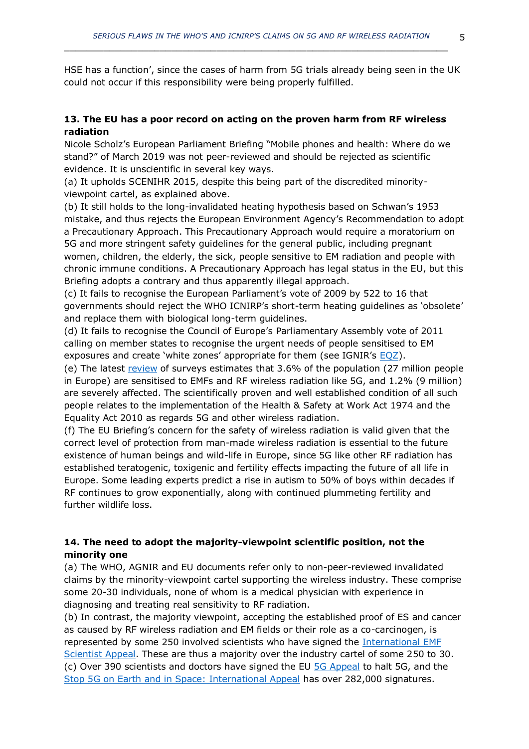HSE has a function', since the cases of harm from 5G trials already being seen in the UK could not occur if this responsibility were being properly fulfilled.

## **13. The EU has a poor record on acting on the proven harm from RF wireless radiation**

Nicole Scholz's European Parliament Briefing "Mobile phones and health: Where do we stand?" of March 2019 was not peer-reviewed and should be rejected as scientific evidence. It is unscientific in several key ways.

(a) It upholds SCENIHR 2015, despite this being part of the discredited minorityviewpoint cartel, as explained above.

(b) It still holds to the long-invalidated heating hypothesis based on Schwan's 1953 mistake, and thus rejects the European Environment Agency's Recommendation to adopt a Precautionary Approach. This Precautionary Approach would require a moratorium on 5G and more stringent safety guidelines for the general public, including pregnant women, children, the elderly, the sick, people sensitive to EM radiation and people with chronic immune conditions. A Precautionary Approach has legal status in the EU, but this Briefing adopts a contrary and thus apparently illegal approach.

(c) It fails to recognise the European Parliament's vote of 2009 by 522 to 16 that governments should reject the WHO ICNIRP's short-term heating guidelines as 'obsolete' and replace them with biological long-term guidelines.

(d) It fails to recognise the Council of Europe's Parliamentary Assembly vote of 2011 calling on member states to recognise the urgent needs of people sensitised to EM exposures and create 'white zones' appropriate for them (see IGNIR's [EQZ\)](https://files.persona.co/72583/Press-Release-IGNIR-EQZ-v4-23-Sept-2019.pdf).

(e) The latest [review](https://www.ommegaonline.org/article-details/The-Prevalence-of-People-With-Restricted-Access-to-Work-in-Man-Made-Electromagnetic-Environments/2402) of surveys estimates that 3.6% of the population (27 million people in Europe) are sensitised to EMFs and RF wireless radiation like 5G, and 1.2% (9 million) are severely affected. The scientifically proven and well established condition of all such people relates to the implementation of the Health & Safety at Work Act 1974 and the Equality Act 2010 as regards 5G and other wireless radiation.

(f) The EU Briefing's concern for the safety of wireless radiation is valid given that the correct level of protection from man-made wireless radiation is essential to the future existence of human beings and wild-life in Europe, since 5G like other RF radiation has established teratogenic, toxigenic and fertility effects impacting the future of all life in Europe. Some leading experts predict a rise in autism to 50% of boys within decades if RF continues to grow exponentially, along with continued plummeting fertility and further wildlife loss.

## **14. The need to adopt the majority-viewpoint scientific position, not the minority one**

(a) The WHO, AGNIR and EU documents refer only to non-peer-reviewed invalidated claims by the minority-viewpoint cartel supporting the wireless industry. These comprise some 20-30 individuals, none of whom is a medical physician with experience in diagnosing and treating real sensitivity to RF radiation.

(b) In contrast, the majority viewpoint, accepting the established proof of ES and cancer as caused by RF wireless radiation and EM fields or their role as a co-carcinogen, is represented by some 250 involved scientists who have signed the [International EMF](https://www.emfscientist.org/)  [Scientist Appeal.](https://www.emfscientist.org/) These are thus a majority over the industry cartel of some 250 to 30. (c) Over 390 scientists and doctors have signed the EU [5G Appeal](http://www.5gappeal.eu/) to halt 5G, and the [Stop 5G on Earth and in Space: International Appeal](https://www.5gspaceappeal.org/) has over 282,000 signatures.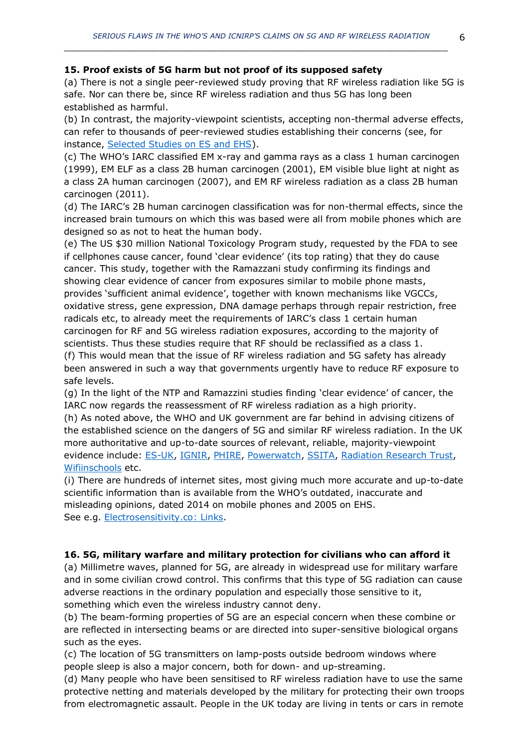#### **15. Proof exists of 5G harm but not proof of its supposed safety**

(a) There is not a single peer-reviewed study proving that RF wireless radiation like 5G is safe. Nor can there be, since RF wireless radiation and thus 5G has long been established as harmful.

(b) In contrast, the majority-viewpoint scientists, accepting non-thermal adverse effects, can refer to thousands of peer-reviewed studies establishing their concerns (see, for instance, [Selected Studies on ES and EHS\)](http://www.es-uk.info/wp-content/uploads/2018/05/Selected%20ES%20and%20EHS%20studies.pdf).

(c) The WHO's IARC classified EM x-ray and gamma rays as a class 1 human carcinogen (1999), EM ELF as a class 2B human carcinogen (2001), EM visible blue light at night as a class 2A human carcinogen (2007), and EM RF wireless radiation as a class 2B human carcinogen (2011).

(d) The IARC's 2B human carcinogen classification was for non-thermal effects, since the increased brain tumours on which this was based were all from mobile phones which are designed so as not to heat the human body.

(e) The US \$30 million National Toxicology Program study, requested by the FDA to see if cellphones cause cancer, found 'clear evidence' (its top rating) that they do cause cancer. This study, together with the Ramazzani study confirming its findings and showing clear evidence of cancer from exposures similar to mobile phone masts, provides 'sufficient animal evidence', together with known mechanisms like VGCCs, oxidative stress, gene expression, DNA damage perhaps through repair restriction, free radicals etc, to already meet the requirements of IARC's class 1 certain human carcinogen for RF and 5G wireless radiation exposures, according to the majority of scientists. Thus these studies require that RF should be reclassified as a class 1. (f) This would mean that the issue of RF wireless radiation and 5G safety has already

been answered in such a way that governments urgently have to reduce RF exposure to safe levels.

(g) In the light of the NTP and Ramazzini studies finding 'clear evidence' of cancer, the IARC now regards the reassessment of RF wireless radiation as a high priority.

(h) As noted above, the WHO and UK government are far behind in advising citizens of the established science on the dangers of 5G and similar RF wireless radiation. In the UK more authoritative and up-to-date sources of relevant, reliable, majority-viewpoint evidence include: [ES-UK,](http://www.es-uk.info/) [IGNIR,](https://www.ignir.org/) [PHIRE,](http://phiremedical.org/) [Powerwatch,](https://www.powerwatch.org.uk/) [SSITA,](https://ssita.org.uk/) [Radiation Research Trust,](https://www.radiationresearch.org/) [Wifiinschools](http://wifiinschools.org.uk/) etc.

(i) There are hundreds of internet sites, most giving much more accurate and up-to-date scientific information than is available from the WHO's outdated, inaccurate and misleading opinions, dated 2014 on mobile phones and 2005 on EHS. See e.g. [Electrosensitivity.co:](https://www.electrosensitivity.co/links-1.html) Links.

#### **16. 5G, military warfare and military protection for civilians who can afford it**

(a) Millimetre waves, planned for 5G, are already in widespread use for military warfare and in some civilian crowd control. This confirms that this type of 5G radiation can cause adverse reactions in the ordinary population and especially those sensitive to it, something which even the wireless industry cannot deny.

(b) The beam-forming properties of 5G are an especial concern when these combine or are reflected in intersecting beams or are directed into super-sensitive biological organs such as the eyes.

(c) The location of 5G transmitters on lamp-posts outside bedroom windows where people sleep is also a major concern, both for down- and up-streaming.

(d) Many people who have been sensitised to RF wireless radiation have to use the same protective netting and materials developed by the military for protecting their own troops from electromagnetic assault. People in the UK today are living in tents or cars in remote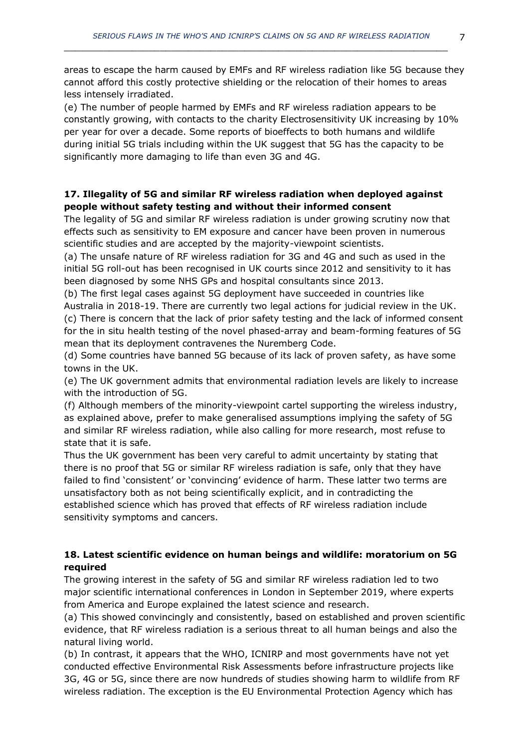areas to escape the harm caused by EMFs and RF wireless radiation like 5G because they cannot afford this costly protective shielding or the relocation of their homes to areas less intensely irradiated.

(e) The number of people harmed by EMFs and RF wireless radiation appears to be constantly growing, with contacts to the charity Electrosensitivity UK increasing by 10% per year for over a decade. Some reports of bioeffects to both humans and wildlife during initial 5G trials including within the UK suggest that 5G has the capacity to be significantly more damaging to life than even 3G and 4G.

## **17. Illegality of 5G and similar RF wireless radiation when deployed against people without safety testing and without their informed consent**

The legality of 5G and similar RF wireless radiation is under growing scrutiny now that effects such as sensitivity to EM exposure and cancer have been proven in numerous scientific studies and are accepted by the majority-viewpoint scientists.

(a) The unsafe nature of RF wireless radiation for 3G and 4G and such as used in the initial 5G roll-out has been recognised in UK courts since 2012 and sensitivity to it has been diagnosed by some NHS GPs and hospital consultants since 2013.

(b) The first legal cases against 5G deployment have succeeded in countries like Australia in 2018-19. There are currently two legal actions for judicial review in the UK.

(c) There is concern that the lack of prior safety testing and the lack of informed consent for the in situ health testing of the novel phased-array and beam-forming features of 5G mean that its deployment contravenes the Nuremberg Code.

(d) Some countries have banned 5G because of its lack of proven safety, as have some towns in the UK.

(e) The UK government admits that environmental radiation levels are likely to increase with the introduction of 5G.

(f) Although members of the minority-viewpoint cartel supporting the wireless industry, as explained above, prefer to make generalised assumptions implying the safety of 5G and similar RF wireless radiation, while also calling for more research, most refuse to state that it is safe.

Thus the UK government has been very careful to admit uncertainty by stating that there is no proof that 5G or similar RF wireless radiation is safe, only that they have failed to find 'consistent' or 'convincing' evidence of harm. These latter two terms are unsatisfactory both as not being scientifically explicit, and in contradicting the established science which has proved that effects of RF wireless radiation include sensitivity symptoms and cancers.

## **18. Latest scientific evidence on human beings and wildlife: moratorium on 5G required**

The growing interest in the safety of 5G and similar RF wireless radiation led to two major scientific international conferences in London in September 2019, where experts from America and Europe explained the latest science and research.

(a) This showed convincingly and consistently, based on established and proven scientific evidence, that RF wireless radiation is a serious threat to all human beings and also the natural living world.

(b) In contrast, it appears that the WHO, ICNIRP and most governments have not yet conducted effective Environmental Risk Assessments before infrastructure projects like 3G, 4G or 5G, since there are now hundreds of studies showing harm to wildlife from RF wireless radiation. The exception is the EU Environmental Protection Agency which has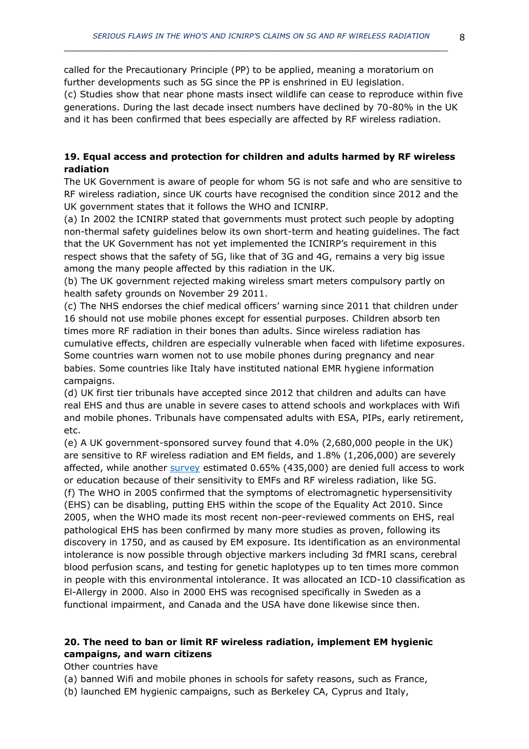called for the Precautionary Principle (PP) to be applied, meaning a moratorium on further developments such as 5G since the PP is enshrined in EU legislation.

 $\_$  , and the set of the set of the set of the set of the set of the set of the set of the set of the set of the set of the set of the set of the set of the set of the set of the set of the set of the set of the set of th

(c) Studies show that near phone masts insect wildlife can cease to reproduce within five generations. During the last decade insect numbers have declined by 70-80% in the UK and it has been confirmed that bees especially are affected by RF wireless radiation.

## **19. Equal access and protection for children and adults harmed by RF wireless radiation**

The UK Government is aware of people for whom 5G is not safe and who are sensitive to RF wireless radiation, since UK courts have recognised the condition since 2012 and the UK government states that it follows the WHO and ICNIRP.

(a) In 2002 the ICNIRP stated that governments must protect such people by adopting non-thermal safety guidelines below its own short-term and heating guidelines. The fact that the UK Government has not yet implemented the ICNIRP's requirement in this respect shows that the safety of 5G, like that of 3G and 4G, remains a very big issue among the many people affected by this radiation in the UK.

(b) The UK government rejected making wireless smart meters compulsory partly on health safety grounds on November 29 2011.

(c) The NHS endorses the chief medical officers' warning since 2011 that children under 16 should not use mobile phones except for essential purposes. Children absorb ten times more RF radiation in their bones than adults. Since wireless radiation has cumulative effects, children are especially vulnerable when faced with lifetime exposures. Some countries warn women not to use mobile phones during pregnancy and near babies. Some countries like Italy have instituted national EMR hygiene information campaigns.

(d) UK first tier tribunals have accepted since 2012 that children and adults can have real EHS and thus are unable in severe cases to attend schools and workplaces with Wifi and mobile phones. Tribunals have compensated adults with ESA, PIPs, early retirement, etc.

(e) A UK government-sponsored survey found that 4.0% (2,680,000 people in the UK) are sensitive to RF wireless radiation and EM fields, and 1.8% (1,206,000) are severely affected, while another [survey](https://www.ommegaonline.org/article-details/The-Prevalence-of-People-With-Restricted-Access-to-Work-in-Man-Made-Electromagnetic-Environments/2402) estimated 0.65% (435,000) are denied full access to work or education because of their sensitivity to EMFs and RF wireless radiation, like 5G. (f) The WHO in 2005 confirmed that the symptoms of electromagnetic hypersensitivity (EHS) can be disabling, putting EHS within the scope of the Equality Act 2010. Since 2005, when the WHO made its most recent non-peer-reviewed comments on EHS, real pathological EHS has been confirmed by many more studies as proven, following its discovery in 1750, and as caused by EM exposure. Its identification as an environmental intolerance is now possible through objective markers including 3d fMRI scans, cerebral blood perfusion scans, and testing for genetic haplotypes up to ten times more common in people with this environmental intolerance. It was allocated an ICD-10 classification as El-Allergy in 2000. Also in 2000 EHS was recognised specifically in Sweden as a functional impairment, and Canada and the USA have done likewise since then.

## **20. The need to ban or limit RF wireless radiation, implement EM hygienic campaigns, and warn citizens**

## Other countries have

(a) banned Wifi and mobile phones in schools for safety reasons, such as France,

(b) launched EM hygienic campaigns, such as Berkeley CA, Cyprus and Italy,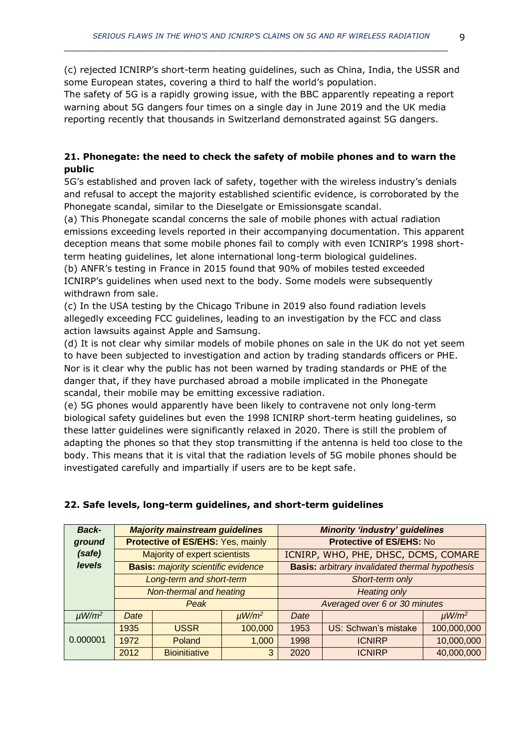(c) rejected ICNIRP's short-term heating guidelines, such as China, India, the USSR and some European states, covering a third to half the world's population.

The safety of 5G is a rapidly growing issue, with the BBC apparently repeating a report warning about 5G dangers four times on a single day in June 2019 and the UK media reporting recently that thousands in Switzerland demonstrated against 5G dangers.

## **21. Phonegate: the need to check the safety of mobile phones and to warn the public**

5G's established and proven lack of safety, together with the wireless industry's denials and refusal to accept the majority established scientific evidence, is corroborated by the Phonegate scandal, similar to the Dieselgate or Emissionsgate scandal.

(a) This Phonegate scandal concerns the sale of mobile phones with actual radiation emissions exceeding levels reported in their accompanying documentation. This apparent deception means that some mobile phones fail to comply with even ICNIRP's 1998 shortterm heating guidelines, let alone international long-term biological guidelines.

(b) ANFR's testing in France in 2015 found that 90% of mobiles tested exceeded ICNIRP's guidelines when used next to the body. Some models were subsequently withdrawn from sale.

(c) In the USA testing by the Chicago Tribune in 2019 also found radiation levels allegedly exceeding FCC guidelines, leading to an investigation by the FCC and class action lawsuits against Apple and Samsung.

(d) It is not clear why similar models of mobile phones on sale in the UK do not yet seem to have been subjected to investigation and action by trading standards officers or PHE. Nor is it clear why the public has not been warned by trading standards or PHE of the danger that, if they have purchased abroad a mobile implicated in the Phonegate scandal, their mobile may be emitting excessive radiation.

(e) 5G phones would apparently have been likely to contravene not only long-term biological safety guidelines but even the 1998 ICNIRP short-term heating guidelines, so these latter guidelines were significantly relaxed in 2020. There is still the problem of adapting the phones so that they stop transmitting if the antenna is held too close to the body. This means that it is vital that the radiation levels of 5G mobile phones should be investigated carefully and impartially if users are to be kept safe.

| <b>Back-</b>           |                               | <b>Majority mainstream guidelines</b>      |                        | <b>Minority 'industry' guidelines</b>                  |                      |                        |  |
|------------------------|-------------------------------|--------------------------------------------|------------------------|--------------------------------------------------------|----------------------|------------------------|--|
| ground                 |                               | Protective of ES/EHS: Yes, mainly          |                        | <b>Protective of ES/EHS: No</b>                        |                      |                        |  |
| (safe)                 | Majority of expert scientists |                                            |                        | ICNIRP, WHO, PHE, DHSC, DCMS, COMARE                   |                      |                        |  |
| <b>levels</b>          |                               | <b>Basis: majority scientific evidence</b> |                        | <b>Basis:</b> arbitrary invalidated thermal hypothesis |                      |                        |  |
|                        |                               | Long-term and short-term                   |                        | Short-term only                                        |                      |                        |  |
|                        | Non-thermal and heating       |                                            |                        | <b>Heating only</b>                                    |                      |                        |  |
|                        |                               | Peak                                       |                        | Averaged over 6 or 30 minutes                          |                      |                        |  |
| $\mu$ W/m <sup>2</sup> | Date                          |                                            | $\mu$ W/m <sup>2</sup> | Date                                                   |                      | $\mu$ W/m <sup>2</sup> |  |
| 0.000001               | 1935                          | <b>USSR</b>                                | 100,000                | 1953                                                   | US: Schwan's mistake | 100,000,000            |  |
|                        | 1972                          | Poland                                     | 1,000                  | 1998                                                   | <b>ICNIRP</b>        | 10,000,000             |  |
|                        | 2012                          | <b>Bioinitiative</b>                       | 3                      | 2020                                                   | <b>ICNIRP</b>        | 40,000,000             |  |

## **22. Safe levels, long-term guidelines, and short-term guidelines**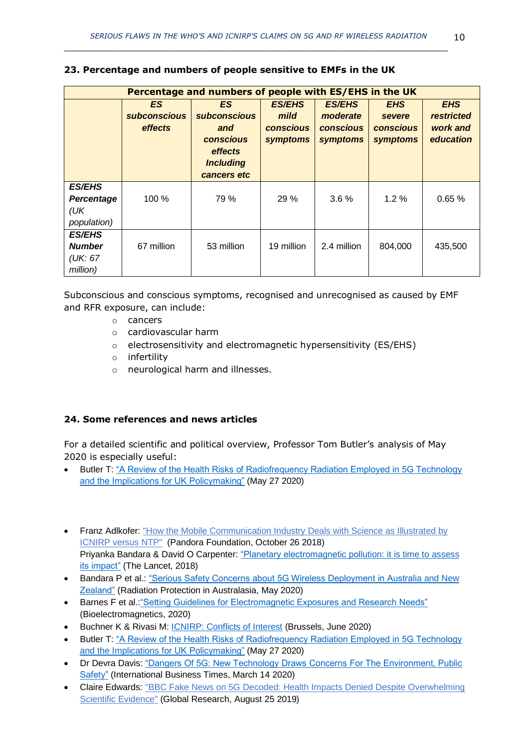| Percentage and numbers of people with ES/EHS in the UK |                                             |                                                                                                     |                                                       |                                                           |                                                      |                                                          |  |  |  |  |
|--------------------------------------------------------|---------------------------------------------|-----------------------------------------------------------------------------------------------------|-------------------------------------------------------|-----------------------------------------------------------|------------------------------------------------------|----------------------------------------------------------|--|--|--|--|
|                                                        | <b>ES</b><br><b>subconscious</b><br>effects | ES.<br><b>subconscious</b><br>and<br><b>conscious</b><br>effects<br><b>Including</b><br>cancers etc | <b>ES/EHS</b><br>mild<br><b>conscious</b><br>symptoms | <b>ES/EHS</b><br>moderate<br><b>conscious</b><br>symptoms | <b>EHS</b><br>severe<br><b>conscious</b><br>symptoms | <b>EHS</b><br><b>restricted</b><br>work and<br>education |  |  |  |  |
| <b>ES/EHS</b><br>Percentage<br>(UK)<br>population)     | 100 %                                       | 79 %                                                                                                | 29%                                                   | 3.6%                                                      | 1.2%                                                 | 0.65%                                                    |  |  |  |  |
| <b>ES/EHS</b><br><b>Number</b><br>(UK: 67)<br>million) | 67 million                                  | 53 million                                                                                          | 19 million                                            | 2.4 million                                               | 804,000                                              | 435,500                                                  |  |  |  |  |

#### **23. Percentage and numbers of people sensitive to EMFs in the UK**

Subconscious and conscious symptoms, recognised and unrecognised as caused by EMF and RFR exposure, can include:

- o cancers
- o cardiovascular harm
- o electrosensitivity and electromagnetic hypersensitivity (ES/EHS)
- o infertility
- o neurological harm and illnesses.

## **24. Some references and news articles**

For a detailed scientific and political overview, Professor Tom Butler's analysis of May 2020 is especially useful:

- Butler T: ["A Review of the Health Risks of Radiofrequency Radiation Employed in 5G Technology](https://www.radiationresearch.org/wp-content/uploads/2020/05/Prof-Tom-Butler-Submission-on-5G-RFR-Final-27-05-2020.pdf?fbclid=IwAR3pfzt2CoapFhQaEd4wJIoPdFvNVs1xfMdRnC4uZCB2F4XJkVI-OHnKy24)  [and the Implications for UK Policymaking"](https://www.radiationresearch.org/wp-content/uploads/2020/05/Prof-Tom-Butler-Submission-on-5G-RFR-Final-27-05-2020.pdf?fbclid=IwAR3pfzt2CoapFhQaEd4wJIoPdFvNVs1xfMdRnC4uZCB2F4XJkVI-OHnKy24) (May 27 2020)
- Franz Adlkofer: "How the Mobile Communication Industry Deals with Science as Illustrated by [ICNIRP versus NTP"](https://stiftung-pandora.eu/wp-content/uploads/2018/11/Pandora_Adlkofer_Dealing-with-NTP-Nancy-Draft_181026_en.pdf) (Pandora Foundation, October 26 2018) Priyanka Bandara & David O Carpenter[: "Planetary electromagnetic pollution: it is time to assess](https://www.thelancet.com/journals/lanplh/article/PIIS2542-5196(18)30221-3/fulltext?fbclid=IwAR2l2zuI1IPxMagKEep7q1P1eU_AQLNZJ8vZZn_TEcO2gJmjKUlZtSJSTlM)  [its impact"](https://www.thelancet.com/journals/lanplh/article/PIIS2542-5196(18)30221-3/fulltext?fbclid=IwAR2l2zuI1IPxMagKEep7q1P1eU_AQLNZJ8vZZn_TEcO2gJmjKUlZtSJSTlM) (The Lancet, 2018)
- Bandara P et al.: ["Serious Safety Concerns about 5G Wireless Deployment in Australia and New](https://ehtrust.org/wp-content/uploads/5Grisks_Bandaraetal2020RadiationProtectionInAustralasia.pdf)  [Zealand"](https://ehtrust.org/wp-content/uploads/5Grisks_Bandaraetal2020RadiationProtectionInAustralasia.pdf) (Radiation Protection in Australasia, May 2020)
- Barnes F et al.: "Setting Guidelines for Electromagnetic Exposures and Research Needs" (Bioelectromagnetics, 2020)
- Buchner K & Rivasi M: [ICNIRP: Conflicts of Interest](https://klaus-buchner.eu/wp-content/uploads/2020/06/ICNIRP-report-FINAL-19-JUNE-2020.pdf) (Brussels, June 2020)
- Butler T: ["A Review of the Health Risks of Radiofrequency Radiation Employed in 5G Technology](https://www.radiationresearch.org/wp-content/uploads/2020/05/Prof-Tom-Butler-Submission-on-5G-RFR-Final-27-05-2020.pdf?fbclid=IwAR3pfzt2CoapFhQaEd4wJIoPdFvNVs1xfMdRnC4uZCB2F4XJkVI-OHnKy24)  [and the Implications for UK Policymaking"](https://www.radiationresearch.org/wp-content/uploads/2020/05/Prof-Tom-Butler-Submission-on-5G-RFR-Final-27-05-2020.pdf?fbclid=IwAR3pfzt2CoapFhQaEd4wJIoPdFvNVs1xfMdRnC4uZCB2F4XJkVI-OHnKy24) (May 27 2020)
- Dr Devra Davis: ["Dangers Of 5G: New Technology Draws Concerns For The Environment, Public](https://www.ibtimes.com/dangers-5g-new-technology-draws-concerns-environment-public-safety-2939813)  [Safety"](https://www.ibtimes.com/dangers-5g-new-technology-draws-concerns-environment-public-safety-2939813) (International Business Times, March 14 2020)
- Claire Edwards: ["BBC Fake News on 5G Decoded: Health Impacts Denied Despite Overwhelming](https://www.globalresearch.ca/online-bbc-fake-news-5g-decoded/5687055)  [Scientific Evidence"](https://www.globalresearch.ca/online-bbc-fake-news-5g-decoded/5687055) (Global Research, August 25 2019)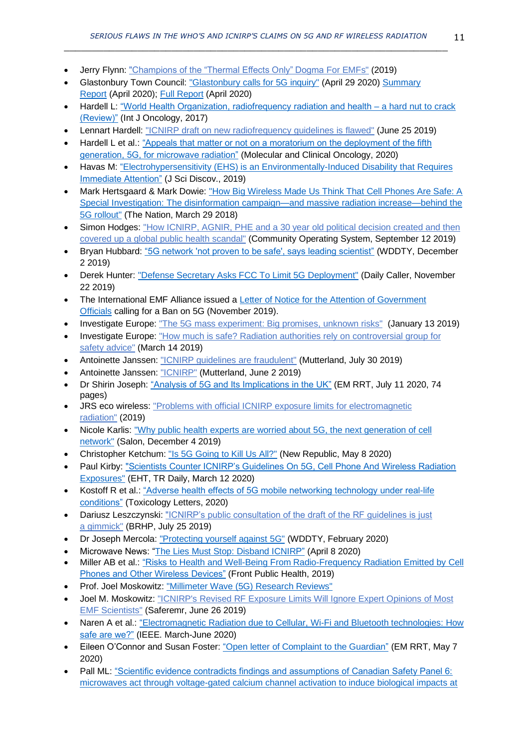- Jerry Flynn: ["Champions of the "Thermal Effects Only" Dogma](http://www.stopsmartmetersbc.com/wp-content/uploads/2019/07/Champions-of-the-Thermal-Effects-Only-Dogma-for-EMFs-3-by-Jerry-Flynn.pdf) For EMFs" (2019)
- Glastonbury Town Council: ["Glastonbury calls for 5G inquiry"](https://glastonbury.gov.uk/2020/04/29/glastonbury-calls-for-5g-inquiry/) (April 29 2020) Summary [Report](https://glastonbury.gov.uk/download/77/5g-report-executive-summary/5609/final-report-and-recommendations-from-glastonburys-5g-advisory-committee-executive-summary.pdf) (April 2020); [Full Report](https://glastonbury.gov.uk/download/76/5g-report/5606/final-report-and-recommendations-from-glastonburys-5g-advisory-committee-print-2.pdf) (April 2020)
- Hardell L: ["World Health Organization, radiofrequency radiation and health –](https://www.spandidos-publications.com/ijo/51/2/405) a hard nut to crack [\(Review\)"](https://www.spandidos-publications.com/ijo/51/2/405) (Int J Oncology, 2017)
- Lennart Hardell: ["ICNIRP draft on new radiofrequency guidelines is](https://lennarthardellenglish.wordpress.com/2019/06/25/icnirp-draft-on-new-radiofrequency-guidelines-is-flawed/) flawed" (June 25 2019)
- Hardell L et al.: ["Appeals that matter or not on a moratorium on the deployment of the fifth](https://www.spandidos-publications.com/10.3892/mco.2020.1984)  [generation, 5G, for microwave radiation"](https://www.spandidos-publications.com/10.3892/mco.2020.1984) (Molecular and Clinical Oncology, 2020)
- Havas M: "Electrohypersensitivity [\(EHS\) is an Environmentally-Induced Disability that Requires](http://www.e-discoverypublication.com/wp-content/uploads/2019/03/JSD18020-final.pdf)  [Immediate Attention"](http://www.e-discoverypublication.com/wp-content/uploads/2019/03/JSD18020-final.pdf) (J Sci Discov., 2019)
- Mark Hertsgaard & Mark Dowie: ["How Big Wireless Made Us Think That Cell Phones Are Safe: A](https://www.thenation.com/article/how-big-wireless-made-us-think-that-cell-phones-are-safe-a-special-investigation/)  Special Investigation: [The disinformation campaign—and massive radiation increase—behind the](https://www.thenation.com/article/how-big-wireless-made-us-think-that-cell-phones-are-safe-a-special-investigation/)  [5G rollout"](https://www.thenation.com/article/how-big-wireless-made-us-think-that-cell-phones-are-safe-a-special-investigation/) (The Nation, March 29 2018)
- Simon Hodges: ["How ICNIRP, AGNIR, PHE and a 30 year old political decision created and then](https://communityoperatingsystem.wordpress.com/2019/09/12/how-icnirp-agnir-phe-and-a-30-year-old-political-decision-created-and-then-covered-up-a-global-public-health-scandal/?fbclid=IwAR3rgYMunPtjUPDO60vGRAmX9HuzvsgDuv8IM-fbMrihqQod8W-B58RR2VQ)  [covered up a global public health](https://communityoperatingsystem.wordpress.com/2019/09/12/how-icnirp-agnir-phe-and-a-30-year-old-political-decision-created-and-then-covered-up-a-global-public-health-scandal/?fbclid=IwAR3rgYMunPtjUPDO60vGRAmX9HuzvsgDuv8IM-fbMrihqQod8W-B58RR2VQ) scandal" (Community Operating System, September 12 2019)
- Bryan Hubbard: ["5G network 'not proven to be safe', says leading scientist"](https://www.wddty.com/news/2019/12/5g-network-not-proven-to-be-safe-says-leading-scientist.html) (WDDTY, December 2 2019)
- Derek Hunter: ["Defense Secretary Asks FCC To Limit 5G Deployment"](https://dailycaller.com/2019/11/22/defense-secretary-fcc-5g-deployment/) (Daily Caller, November 22 2019)
- The International EMF Alliance issued a [Letter of Notice for the Attention of Government](https://www.iemfa.org/wp-content/pdf/2019-11-IEMFA-Letter-of-Notice-on-5G.pdf)  [Officials](https://www.iemfa.org/wp-content/pdf/2019-11-IEMFA-Letter-of-Notice-on-5G.pdf) calling for a Ban on 5G (November 2019).
- Investigate Europe: ["The 5G mass experiment: Big promises, unknown risks"](https://www.investigate-europe.eu/publications/the-5g-mass-experiment/) (January 13 2019)
- Investigate Europe: ["How much is safe? Radiation authorities rely on controversial group for](https://www.investigate-europe.eu/publications/how-much-is-safe/)  [safety advice"](https://www.investigate-europe.eu/publications/how-much-is-safe/) (March 14 2019)
- Antoinette Janssen: ["ICNIRP guidelines are fraudulent"](https://multerland.wordpress.com/2019/07/30/5g-eu-guidelines-are-fraudulent-3/) (Mutterland, July 30 2019)
- Antoinette Janssen: ["ICNIRP"](https://multerland.wordpress.com/2019/06/02/icnirp/) (Mutterland, June 2 2019)
- Dr Shirin Joseph: ["Analysis of 5G and Its Implications in the UK"](https://www.radiationresearch.org/wp-content/uploads/2020/07/Analysis-of-5G-and-Its-Implications-in-the-UK-11072020a.pdf) (EM RRT, July 11 2020, 74 pages)
- JRS eco wireless: ["Problems with official ICNIRP exposure limits for electromagnetic](https://www.jrseco.com/problems-with-official-icnirp-exposure-limits-for-electromagnetic-radiation/)  [radiation"](https://www.jrseco.com/problems-with-official-icnirp-exposure-limits-for-electromagnetic-radiation/) (2019)
- Nicole Karlis: "Why public health experts are worried about 5G, the next generation of cell [network"](https://www.salon.com/2018/12/03/why-public-health-experts-are-worried-about-5g-the-next-generation-of-cell-network/) (Salon, December 4 2019)
- Christopher Ketchum: ["Is 5G Going to Kill Us All?"](https://newrepublic.com/article/157603/5g-going-kill-us-all) (New Republic, May 8 2020)
- Paul Kirby: ["Scientists Counter ICNIRP's Guidelines On 5G, Cell Phone And Wireless Radiation](https://ehtrust.org/scientists-counter-icnirps-guidelines-on-5g-cell-phone-and-wireless-radiation-exposures/)  [Exposures"](https://ehtrust.org/scientists-counter-icnirps-guidelines-on-5g-cell-phone-and-wireless-radiation-exposures/) (EHT, TR Daily, March 12 2020)
- Kostoff R et al.: "Adverse health effects of 5G mobile networking technology under real-life [conditions"](https://www.sciencedirect.com/science/article/pii/S037842742030028X) (Toxicology Letters, 2020)
- Dariusz Leszczynski: ["ICNIRP's public consultation of the draft of the RF guidelines is just](https://betweenrockandhardplace.wordpress.com/2018/07/25/icnirps-public-consultation-of-the-draft-of-the-rf-guidelines-is-just-a-gimmick/)  a [gimmick"](https://betweenrockandhardplace.wordpress.com/2018/07/25/icnirps-public-consultation-of-the-draft-of-the-rf-guidelines-is-just-a-gimmick/) (BRHP, July 25 2019)
- Dr Joseph Mercola: ["Protecting yourself against 5G"](https://www.wddty.com/magazine/2020/february/protecting-yourself-against-5g.html) (WDDTY, February 2020)
- Microwave News: ["The Lies Must Stop: Disband ICNIRP"](https://microwavenews.com/news-center/time-clean-house) (April 8 2020)
- Miller AB et al.: "Risks to Health [and Well-Being From Radio-Frequency](https://www.frontiersin.org/articles/10.3389/fpubh.2019.00223/full) Radiation Emitted by Cell [Phones and Other Wireless Devices"](https://www.frontiersin.org/articles/10.3389/fpubh.2019.00223/full) (Front Public Health, 2019)
- Prof. Joel Moskowitz: ["Millimeter Wave \(5G\) Research Reviews"](https://docs.google.com/spreadsheets/d/1i7AEd7vEzvr66j7ZF0tw5_ZK0rBl87gZOnWiJMeSnoE/edit#gid=0)
- Joel M. Moskowitz: ["ICNIRP's Revised RF Exposure Limits Will Ignore Expert Opinions](https://www.saferemr.com/2018/07/icnirps-exposure-guidelines-for-radio.html?spref=tw) of Most [EMF Scientists"](https://www.saferemr.com/2018/07/icnirps-exposure-guidelines-for-radio.html?spref=tw) (Saferemr, June 26 2019)
- Naren A et al.[: "Electromagnetic Radiation due to Cellular, Wi-Fi and Bluetooth technologies: How](https://ieeexplore.ieee.org/stamp/stamp.jsp?arnumber=9016183)  [safe are we?"](https://ieeexplore.ieee.org/stamp/stamp.jsp?arnumber=9016183) (IEEE. March-June 2020)
- Eileen O'Connor and Susan Foster[: "Open letter of Complaint to the Guardian"](https://www.radiationresearch.org/wp-content/uploads/2020/05/RRT-Letter-to-Guardian.pdf) (EM RRT, May 7 2020)
- Pall ML: ["Scientific evidence contradicts findings and assumptions of Canadian Safety Panel 6:](https://www.degruyter.com/view/j/reveh.2015.30.issue-2/reveh-2015-0001/reveh-2015-0001.xml)  [microwaves act through voltage-gated calcium channel activation to induce biological impacts at](https://www.degruyter.com/view/j/reveh.2015.30.issue-2/reveh-2015-0001/reveh-2015-0001.xml)